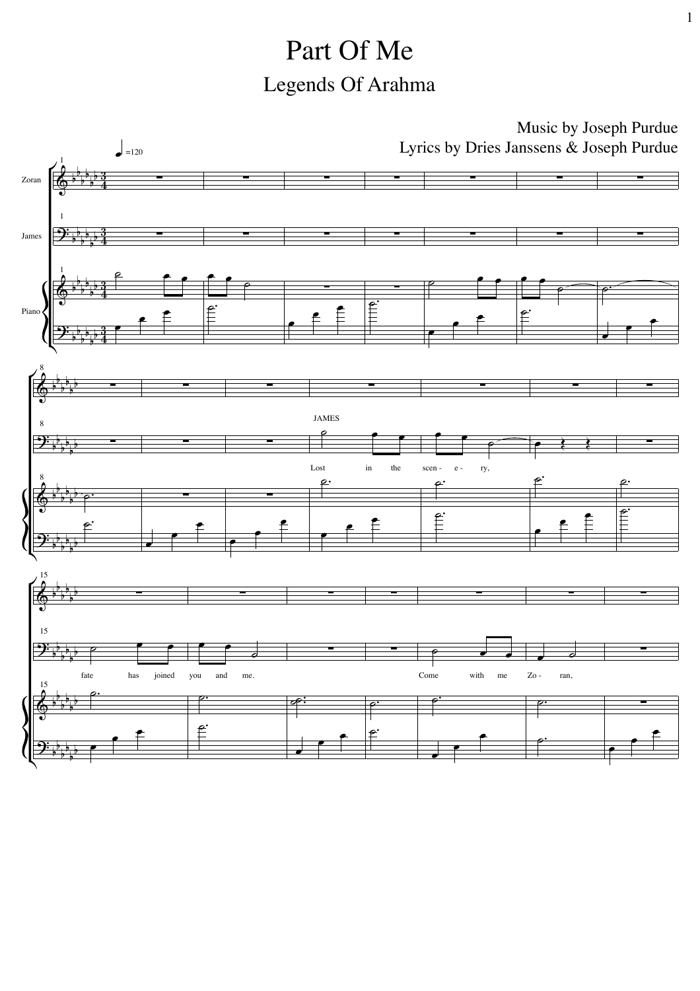## Part Of Me Legends Of Arahma

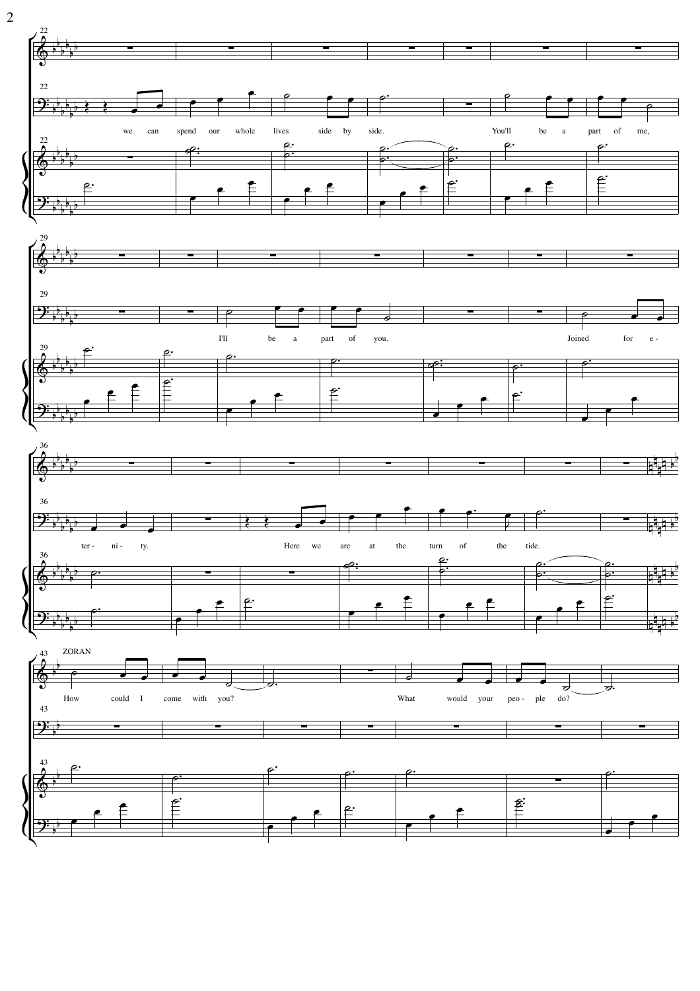

 $\overline{2}$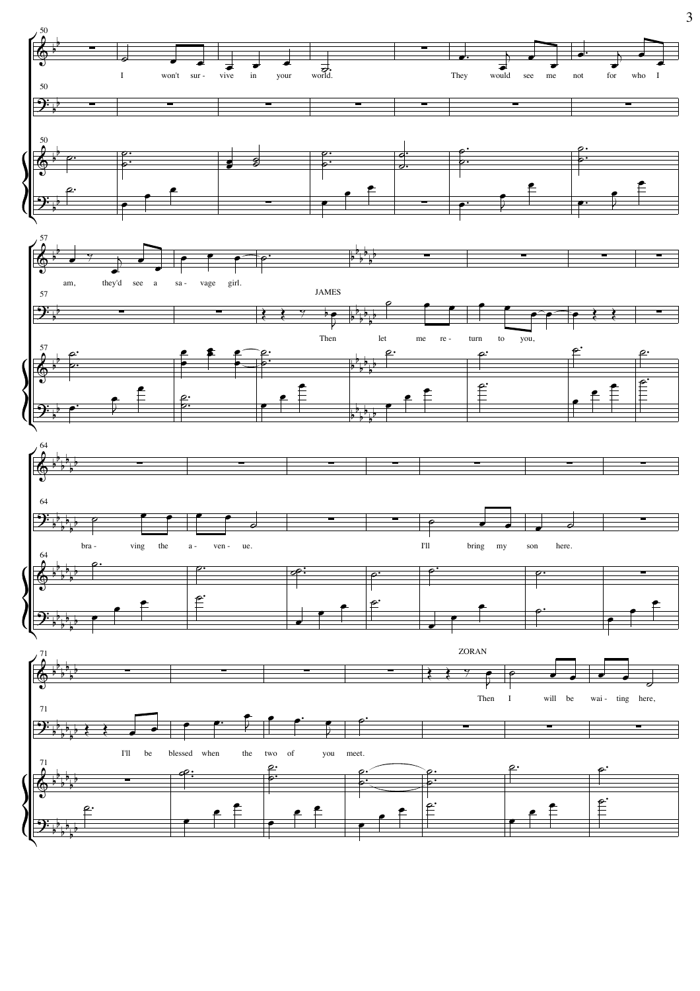

 $\overline{3}$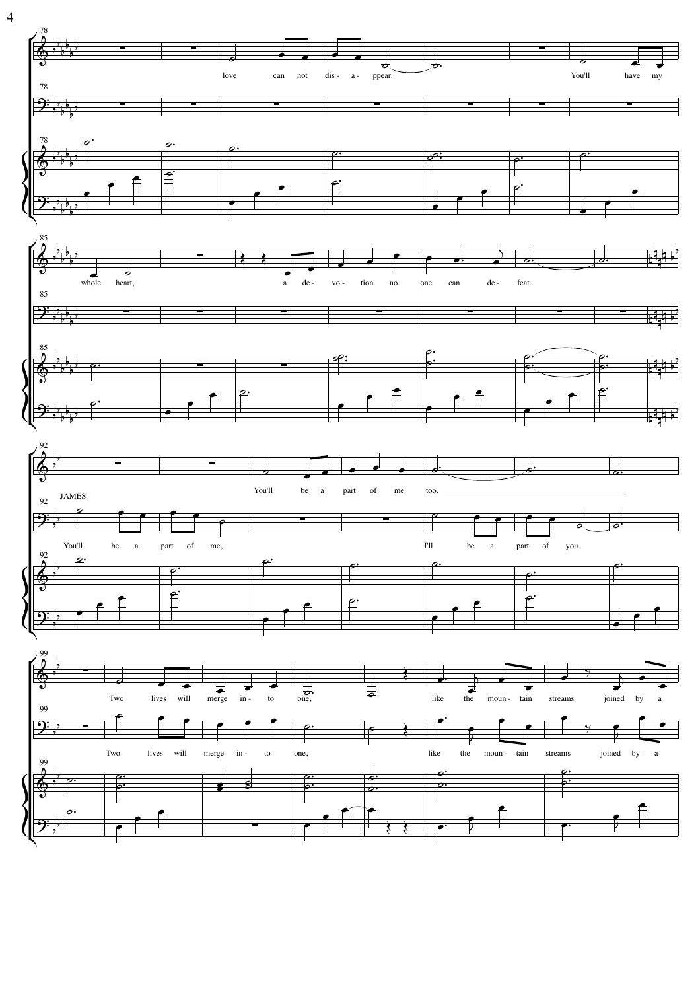

 $\overline{4}$